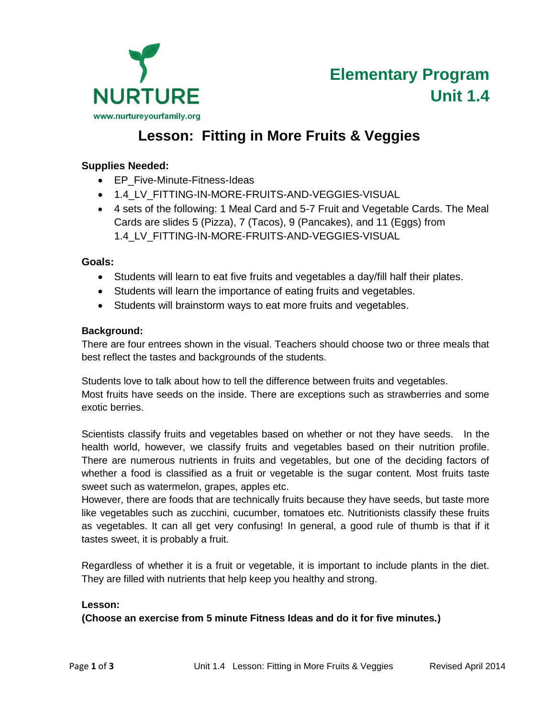

# **Lesson: Fitting in More Fruits & Veggies**

### **Supplies Needed:**

- EP Five-Minute-Fitness-Ideas
- $\bullet$  1.4 LV FITTING-IN-MORE-FRUITS-AND-VEGGIES-VISUAL
- 4 sets of the following: 1 Meal Card and 5-7 Fruit and Vegetable Cards. The Meal Cards are slides 5 (Pizza), 7 (Tacos), 9 (Pancakes), and 11 (Eggs) from 1.4\_LV\_FITTING-IN-MORE-FRUITS-AND-VEGGIES-VISUAL

### **Goals:**

- Students will learn to eat five fruits and vegetables a day/fill half their plates.
- Students will learn the importance of eating fruits and vegetables.
- Students will brainstorm ways to eat more fruits and vegetables.

### **Background:**

There are four entrees shown in the visual. Teachers should choose two or three meals that best reflect the tastes and backgrounds of the students.

Students love to talk about how to tell the difference between fruits and vegetables. Most fruits have seeds on the inside. There are exceptions such as strawberries and some exotic berries.

Scientists classify fruits and vegetables based on whether or not they have seeds. In the health world, however, we classify fruits and vegetables based on their nutrition profile. There are numerous nutrients in fruits and vegetables, but one of the deciding factors of whether a food is classified as a fruit or vegetable is the sugar content. Most fruits taste sweet such as watermelon, grapes, apples etc.

However, there are foods that are technically fruits because they have seeds, but taste more like vegetables such as zucchini, cucumber, tomatoes etc. Nutritionists classify these fruits as vegetables. It can all get very confusing! In general, a good rule of thumb is that if it tastes sweet, it is probably a fruit.

Regardless of whether it is a fruit or vegetable, it is important to include plants in the diet. They are filled with nutrients that help keep you healthy and strong.

#### **Lesson:**

## **(Choose an exercise from 5 minute Fitness Ideas and do it for five minutes.)**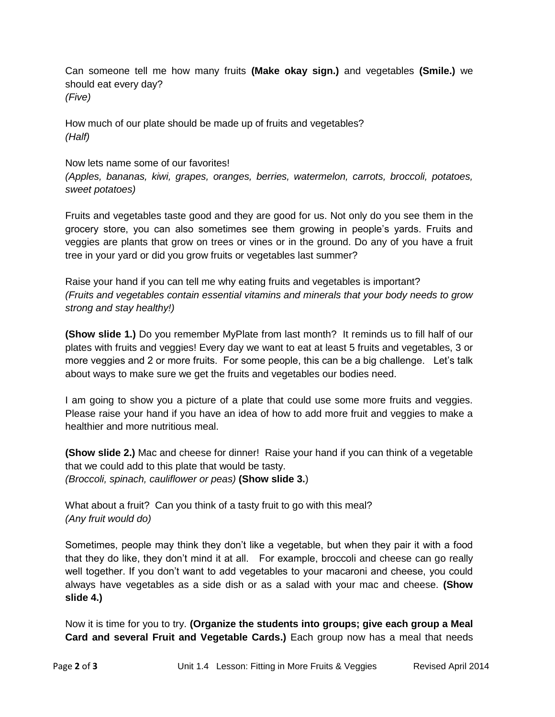Can someone tell me how many fruits **(Make okay sign.)** and vegetables **(Smile.)** we should eat every day? *(Five)*

How much of our plate should be made up of fruits and vegetables? *(Half)*

#### Now lets name some of our favorites!

*(Apples, bananas, kiwi, grapes, oranges, berries, watermelon, carrots, broccoli, potatoes, sweet potatoes)*

Fruits and vegetables taste good and they are good for us. Not only do you see them in the grocery store, you can also sometimes see them growing in people's yards. Fruits and veggies are plants that grow on trees or vines or in the ground. Do any of you have a fruit tree in your yard or did you grow fruits or vegetables last summer?

Raise your hand if you can tell me why eating fruits and vegetables is important? *(Fruits and vegetables contain essential vitamins and minerals that your body needs to grow strong and stay healthy!)*

**(Show slide 1.)** Do you remember MyPlate from last month? It reminds us to fill half of our plates with fruits and veggies! Every day we want to eat at least 5 fruits and vegetables, 3 or more veggies and 2 or more fruits. For some people, this can be a big challenge. Let's talk about ways to make sure we get the fruits and vegetables our bodies need.

I am going to show you a picture of a plate that could use some more fruits and veggies. Please raise your hand if you have an idea of how to add more fruit and veggies to make a healthier and more nutritious meal.

**(Show slide 2.)** Mac and cheese for dinner! Raise your hand if you can think of a vegetable that we could add to this plate that would be tasty. *(Broccoli, spinach, cauliflower or peas)* **(Show slide 3.**)

What about a fruit? Can you think of a tasty fruit to go with this meal? *(Any fruit would do)*

Sometimes, people may think they don't like a vegetable, but when they pair it with a food that they do like, they don't mind it at all. For example, broccoli and cheese can go really well together. If you don't want to add vegetables to your macaroni and cheese, you could always have vegetables as a side dish or as a salad with your mac and cheese. **(Show slide 4.)**

Now it is time for you to try. **(Organize the students into groups; give each group a Meal Card and several Fruit and Vegetable Cards.)** Each group now has a meal that needs